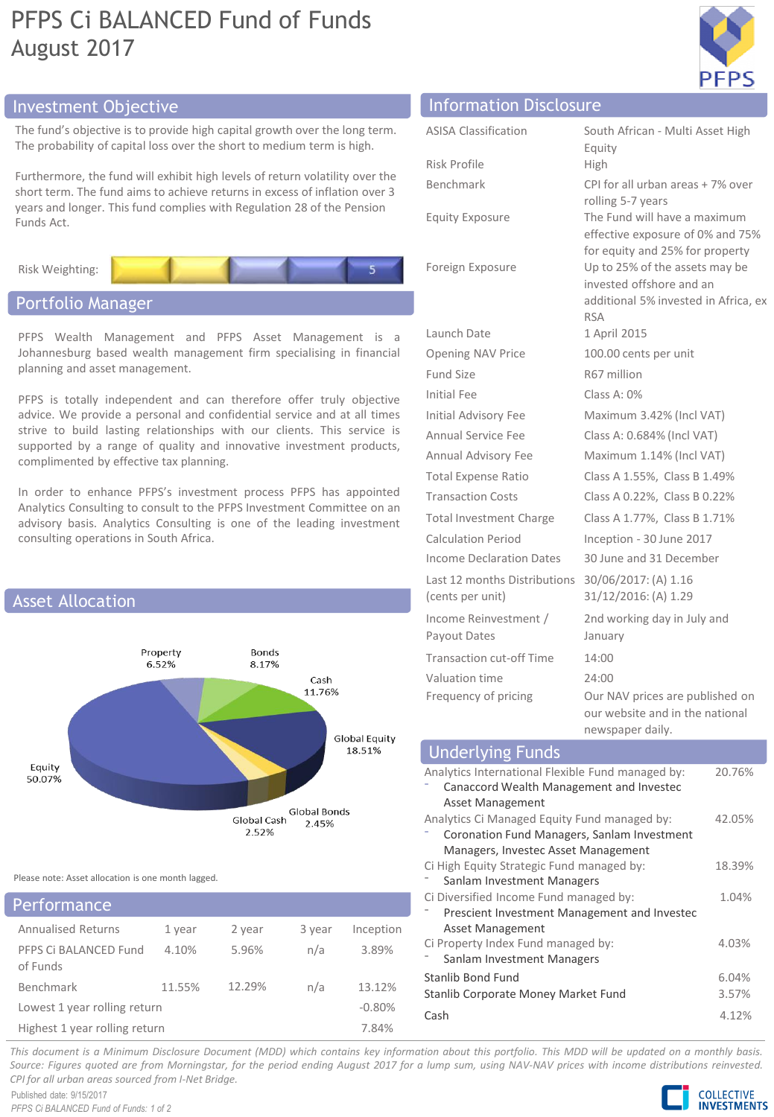# PFPS Ci BALANCED Fund of Funds August 2017



# Investment Objective Information Disclosure

The fund's objective is to provide high capital growth over the long term. The probability of capital loss over the short to medium term

Furthermore, the fund will exhibit high levels of return vola short term. The fund aims to achieve returns in excess of in years and longer. This fund complies with Regulation 28 of Funds Act.



# Portfolio Manager

PFPS Wealth Management and PFPS Asset Management Johannesburg based wealth management firm specialising planning and asset management.

PFPS is totally independent and can therefore offer t advice. We provide a personal and confidential service an strive to build lasting relationships with our clients. T supported by a range of quality and innovative investm complimented by effective tax planning.

In order to enhance PFPS's investment process PFPS has appointed Analytics Consulting to consult to the PFPS Investment Committee on an advisory basis. Analytics Consulting is one of the leading investment consulting operations in South Africa.



Please note: Asset allocation is one month lagged.

| Performance                       |        |        |        |           |
|-----------------------------------|--------|--------|--------|-----------|
| <b>Annualised Returns</b>         | 1 year | 2 year | 3 year | Inception |
| PFPS Ci BALANCED Fund<br>of Funds | 4.10%  | 5.96%  | n/a    | 3.89%     |
| Benchmark                         | 11.55% | 12.29% | n/a    | 13.12%    |
| Lowest 1 year rolling return      |        |        |        | $-0.80%$  |
| Highest 1 year rolling return     |        |        |        | 7.84%     |

|                                                                      | illioi mación <i>Dis</i> closaic |                                                                                                                  |  |  |
|----------------------------------------------------------------------|----------------------------------|------------------------------------------------------------------------------------------------------------------|--|--|
| he long term.<br>m is high.                                          | <b>ASISA Classification</b>      | South African - Multi Asset High<br>Equity                                                                       |  |  |
| tility over the<br>flation over 3<br>the Pension                     | Risk Profile                     | High                                                                                                             |  |  |
|                                                                      | Benchmark                        | CPI for all urban areas + 7% over<br>rolling 5-7 years                                                           |  |  |
|                                                                      | <b>Equity Exposure</b>           | The Fund will have a maximum<br>effective exposure of 0% and 75%<br>for equity and 25% for property              |  |  |
| 5.                                                                   | Foreign Exposure                 | Up to 25% of the assets may be<br>invested offshore and an<br>additional 5% invested in Africa, ex<br><b>RSA</b> |  |  |
| gement is a<br>ng in financial                                       | Launch Date                      | 1 April 2015                                                                                                     |  |  |
|                                                                      | Opening NAV Price                | 100.00 cents per unit                                                                                            |  |  |
|                                                                      | Fund Size                        | R67 million                                                                                                      |  |  |
| ruly objective<br>nd at all times<br>his service is<br>ent products, | Initial Fee                      | Class A: 0%                                                                                                      |  |  |
|                                                                      | Initial Advisory Fee             | Maximum 3.42% (Incl VAT)                                                                                         |  |  |
|                                                                      | <b>Annual Service Fee</b>        | Class A: 0.684% (Incl VAT)                                                                                       |  |  |
|                                                                      | Annual Advisory Fee              | Maximum 1.14% (Incl VAT)                                                                                         |  |  |

Total Expense Ratio Class A 1.55%, Class B 1.49% Transaction Costs Class A 0.22%, Class B 0.22% Total Investment Charge Class A 1.77%, Class B 1.71% Calculation Period Inception - 30 June 2017

#### Last 12 months Distributions 30/06/2017: (A) 1.16 (cents per unit) 31/12/2016: (A) 1.29 Income Reinvestment / Payout Dates 2nd working day in July and January Transaction cut-off Time 14:00 Valuation time 24:00 Frequency of pricing Our NAV prices are published on our website and in the national newspaper daily. Analytics International Flexible Fund managed by: ⁻ Canaccord Wealth Management and Investec Asset Management 20.76% Analytics Ci Managed Equity Fund managed by: ⁻ Coronation Fund Managers, Sanlam Investment Managers, Investec Asset Management 42.05% Underlying Funds

Income Declaration Dates 30 June and 31 December

Ci High Equity Strategic Fund managed by: Sanlam Investment Managers 18.39% Ci Diversified Income Fund managed by: ⁻ Prescient Investment Management and Investec Asset Management 1.04% Ci Property Index Fund managed by: Sanlam Investment Managers 4.03% Stanlib Bond Fund 6.04% Stanlib Corporate Money Market Fund 3.57% Cash 4.12%

This document is a Minimum Disclosure Document (MDD) which contains key information about this portfolio. This MDD will be updated on a monthly basis. Source: Figures quoted are from Morningstar, for the period ending August 2017 for a lump sum, using NAV-NAV prices with income distributions reinvested. *CPI for all urban areas sourced from I-Net Bridge.*

Published date: 9/15/2017 *PFPS Ci BALANCED Fund of Funds: 1 of 2*